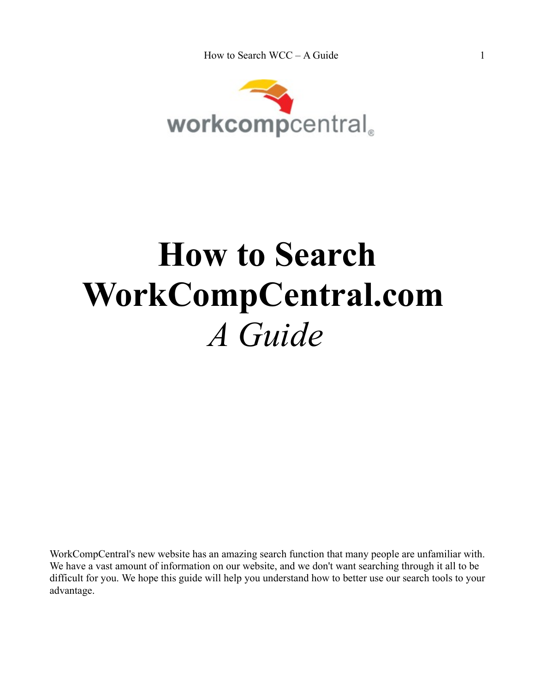

## **How to Search WorkCompCentral.com**  *A Guide*

WorkCompCentral's new website has an amazing search function that many people are unfamiliar with. We have a vast amount of information on our website, and we don't want searching through it all to be difficult for you. We hope this guide will help you understand how to better use our search tools to your advantage.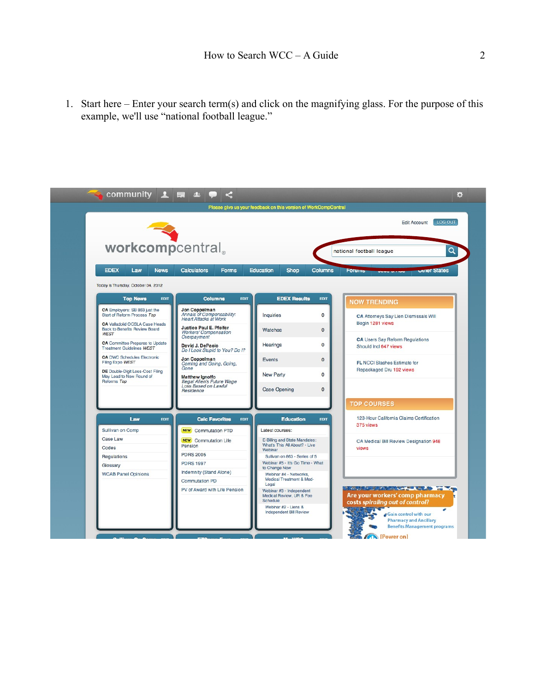1. Start here – Enter your search term(s) and click on the magnifying glass. For the purpose of this example, we'll use "national football league."

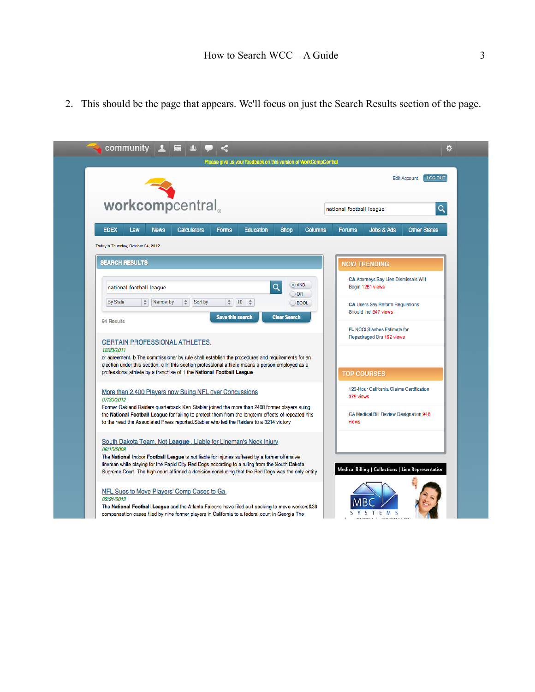2. This should be the page that appears. We'll focus on just the Search Results section of the page.

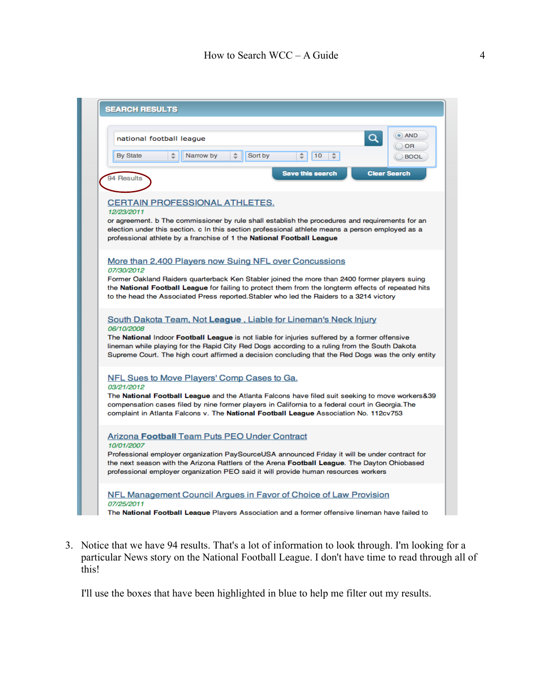

3. Notice that we have 94 results. That's a lot of information to look through. I'm looking for a particular News story on the National Football League. I don't have time to read through all of this!

I'll use the boxes that have been highlighted in blue to help me filter out my results.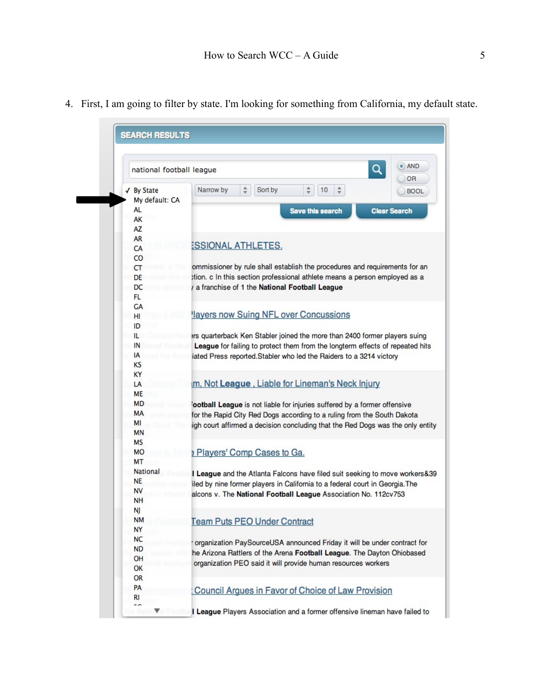| $\bullet$<br><b>AND</b><br>Q<br>national football league<br>OR |                                                                                                    |
|----------------------------------------------------------------|----------------------------------------------------------------------------------------------------|
| √ By State                                                     | Narrow by<br>$\frac{\Delta}{T}$<br>$\frac{\Delta}{\Psi}$<br>$\div$<br>Sort by<br>10<br><b>BOOL</b> |
| My default: CA                                                 |                                                                                                    |
| AL                                                             | <b>Save this search</b><br><b>Clear Search</b>                                                     |
| AK<br>AZ                                                       |                                                                                                    |
| AR                                                             |                                                                                                    |
|                                                                | <b>ESSIONAL ATHLETES.</b>                                                                          |
| CA                                                             |                                                                                                    |
| <b>CO</b>                                                      | ommissioner by rule shall establish the procedures and requirements for an                         |
| CT                                                             |                                                                                                    |
| DE                                                             | tion. c In this section professional athlete means a person employed as a                          |
| DC                                                             | a franchise of 1 the National Football League                                                      |
| FL.                                                            |                                                                                                    |
| GA                                                             | layers now Suing NFL over Concussions                                                              |
| HI                                                             |                                                                                                    |
| ID                                                             |                                                                                                    |
| IL                                                             | ers quarterback Ken Stabler joined the more than 2400 former players suing                         |
| IN                                                             | League for failing to protect them from the longterm effects of repeated hits                      |
| IA                                                             | iated Press reported. Stabler who led the Raiders to a 3214 victory                                |
| KS                                                             |                                                                                                    |
| KY                                                             |                                                                                                    |
| LA                                                             | m, Not League, Liable for Lineman's Neck Injury                                                    |
| <b>ME</b>                                                      |                                                                                                    |
| <b>MD</b>                                                      | ootball League is not liable for injuries suffered by a former offensive                           |
| MA                                                             | for the Rapid City Red Dogs according to a ruling from the South Dakota                            |
| MI                                                             | igh court affirmed a decision concluding that the Red Dogs was the only entity                     |
| MN                                                             |                                                                                                    |
| МS                                                             |                                                                                                    |
| <b>MO</b>                                                      | Players' Comp Cases to Ga.                                                                         |
| <b>MT</b>                                                      |                                                                                                    |
| National                                                       | I League and the Atlanta Falcons have filed suit seeking to move workers&39                        |
| <b>NE</b>                                                      | iled by nine former players in California to a federal court in Georgia. The                       |
| <b>NV</b>                                                      | alcons v. The National Football League Association No. 112cv753                                    |
| NH                                                             |                                                                                                    |
| Ŋ                                                              |                                                                                                    |
| <b>NM</b>                                                      | <b>Team Puts PEO Under Contract</b>                                                                |
| NY                                                             |                                                                                                    |
| <b>NC</b>                                                      | organization PaySourceUSA announced Friday it will be under contract for                           |
| <b>ND</b>                                                      | he Arizona Rattlers of the Arena Football League. The Dayton Ohiobased                             |
| OH                                                             | organization PEO said it will provide human resources workers                                      |
| OK                                                             |                                                                                                    |
| <b>OR</b>                                                      |                                                                                                    |
| PA<br>RI                                                       | Council Argues in Favor of Choice of Law Provision                                                 |
|                                                                |                                                                                                    |

4. First, I am going to filter by state. I'm looking for something from California, my default state.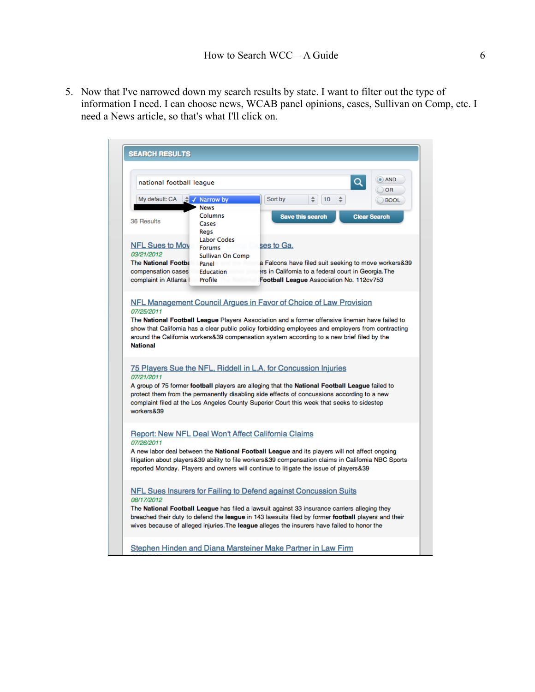5. Now that I've narrowed down my search results by state. I want to filter out the type of information I need. I can choose news, WCAB panel opinions, cases, Sullivan on Comp, etc. I need a News article, so that's what I'll click on.

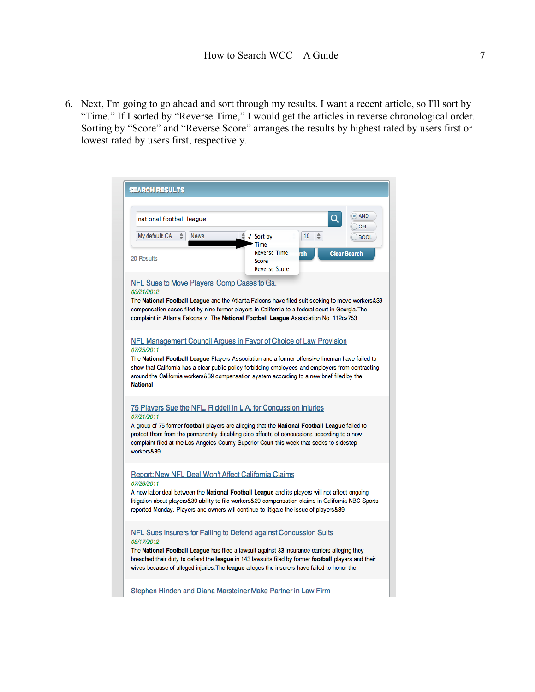6. Next, I'm going to go ahead and sort through my results. I want a recent article, so I'll sort by "Time." If I sorted by "Reverse Time," I would get the articles in reverse chronological order. Sorting by "Score" and "Reverse Score" arranges the results by highest rated by users first or lowest rated by users first, respectively.

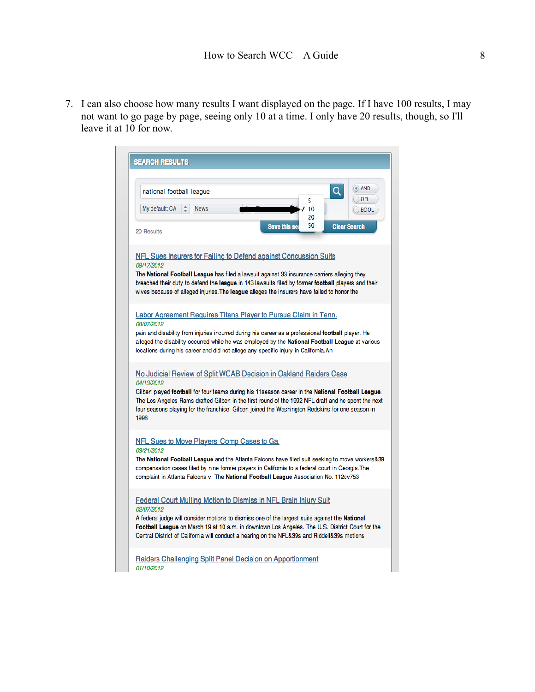7. I can also choose how many results I want displayed on the page. If I have 100 results, I may not want to go page by page, seeing only 10 at a time. I only have 20 results, though, so I'll leave it at 10 for now.

| <b>SEARCH RESULTS</b>                                                                                                                                                                                                                                                                                                                                                                                     |
|-----------------------------------------------------------------------------------------------------------------------------------------------------------------------------------------------------------------------------------------------------------------------------------------------------------------------------------------------------------------------------------------------------------|
| $\bullet$ ) AND<br>Q<br>national football league<br>OR<br>5<br>÷<br>My default: CA<br><b>News</b><br>10<br><b>BOOL</b><br>20<br>50<br><b>Save this se</b><br><b>Clear Search</b>                                                                                                                                                                                                                          |
| 20 Results<br>NFL Sues Insurers for Failing to Defend against Concussion Suits<br>08/17/2012<br>The National Football League has filed a lawsuit against 33 insurance carriers alleging they<br>breached their duty to defend the league in 143 lawsuits filed by former football players and their<br>wives because of alleged injuries. The league alleges the insurers have failed to honor the        |
| Labor Agreement Requires Titans Player to Pursue Claim in Tenn.<br>08/07/2012<br>pain and disability from injuries incurred during his career as a professional football player. He<br>alleged the disability occurred while he was employed by the National Football League at various<br>locations during his career and did not allege any specific injury in California.An                            |
| No Judicial Review of Split WCAB Decision in Oakland Raiders Case<br>04/13/2012<br>Gilbert played football for four teams during his 11 season career in the National Football League.<br>The Los Angeles Rams drafted Gilbert in the first round of the 1992 NFL draft and he spent the next<br>four seasons playing for the franchise. Gilbert joined the Washington Redskins for one season in<br>1996 |
| NFL Sues to Move Players' Comp Cases to Ga.<br>03/21/2012<br>The National Football League and the Atlanta Falcons have filed suit seeking to move workers&39<br>compensation cases filed by nine former players in California to a federal court in Georgia. The<br>complaint in Atlanta Falcons v. The National Football League Association No. 112cv753                                                 |
| Federal Court Mulling Motion to Dismiss in NFL Brain Injury Suit<br>02/07/2012<br>A federal judge will consider motions to dismiss one of the largest suits against the National<br>Football League on March 19 at 10 a.m. in downtown Los Angeles. The U.S. District Court for the<br>Central District of California will conduct a hearing on the NFL&39s and Riddell&39s motions                       |
| Raiders Challenging Split Panel Decision on Apportionment<br>01/10/2012                                                                                                                                                                                                                                                                                                                                   |